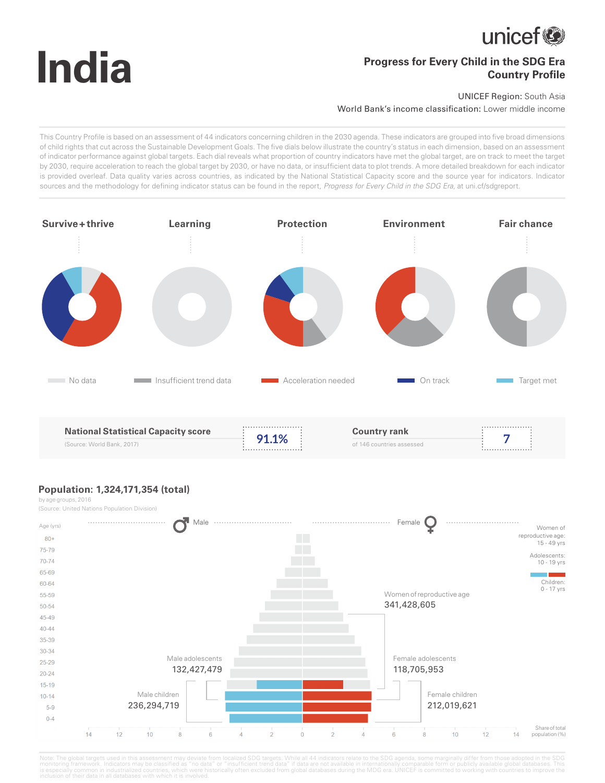

## **Progress for Every Child in the SDG Era Country Profile**

## UNICEF Region: South Asia

World Bank's income classification: Lower middle income

This Country Profile is based on an assessment of 44 indicators concerning children in the 2030 agenda. These indicators are grouped into five broad dimensions of child rights that cut across the Sustainable Development Goals. The five dials below illustrate the country's status in each dimension, based on an assessment of indicator performance against global targets. Each dial reveals what proportion of country indicators have met the global target, are on track to meet the target by 2030, require acceleration to reach the global target by 2030, or have no data, or insufficient data to plot trends. A more detailed breakdown for each indicator is provided overleaf. Data quality varies across countries, as indicated by the National Statistical Capacity score and the source year for indicators. Indicator sources and the methodology for defining indicator status can be found in the report, *Progress for Every Child in the SDG Era,* at [uni.cf/sdgreport.](http://uni.cf/sdgreport)



| <b>National Statistical Capacity score</b> | <br>.1% | Country rank              |  |
|--------------------------------------------|---------|---------------------------|--|
| (Source: World Bank, 2017)                 |         | of 146 countries assessed |  |

## **Population: 1,324,171,354 (total)**

**India**



Note: The global targets used in this assessment may deviate from localized SDG targets. While all 44 indicators relate to the SDG agenda, some marginally differ from those adopted in the SDG<br>monitoring framework. Indicato